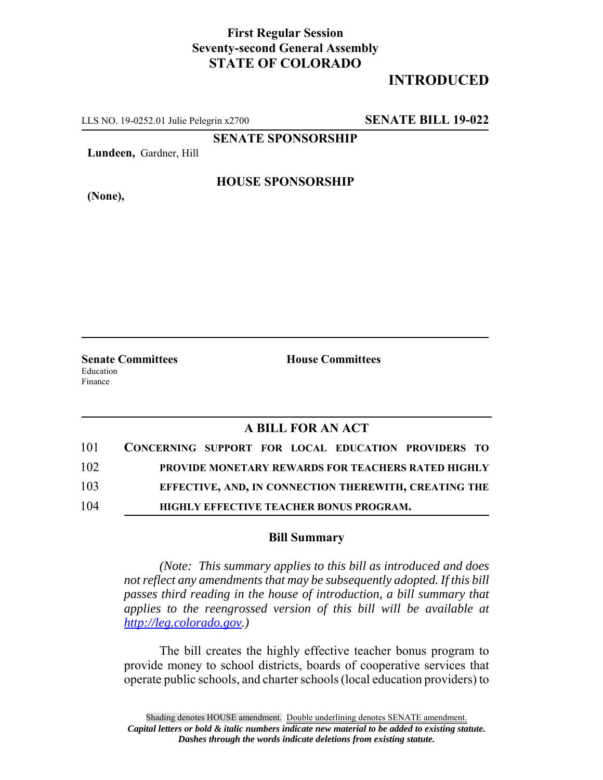## **First Regular Session Seventy-second General Assembly STATE OF COLORADO**

# **INTRODUCED**

LLS NO. 19-0252.01 Julie Pelegrin x2700 **SENATE BILL 19-022**

**SENATE SPONSORSHIP**

**Lundeen,** Gardner, Hill

**(None),**

#### **HOUSE SPONSORSHIP**

**Senate Committees House Committees** Education Finance

### **A BILL FOR AN ACT**

| 101 | CONCERNING SUPPORT FOR LOCAL EDUCATION PROVIDERS TO       |
|-----|-----------------------------------------------------------|
| 102 | <b>PROVIDE MONETARY REWARDS FOR TEACHERS RATED HIGHLY</b> |
| 103 | EFFECTIVE, AND, IN CONNECTION THEREWITH, CREATING THE     |
| 104 | <b>HIGHLY EFFECTIVE TEACHER BONUS PROGRAM.</b>            |

#### **Bill Summary**

*(Note: This summary applies to this bill as introduced and does not reflect any amendments that may be subsequently adopted. If this bill passes third reading in the house of introduction, a bill summary that applies to the reengrossed version of this bill will be available at http://leg.colorado.gov.)*

The bill creates the highly effective teacher bonus program to provide money to school districts, boards of cooperative services that operate public schools, and charter schools (local education providers) to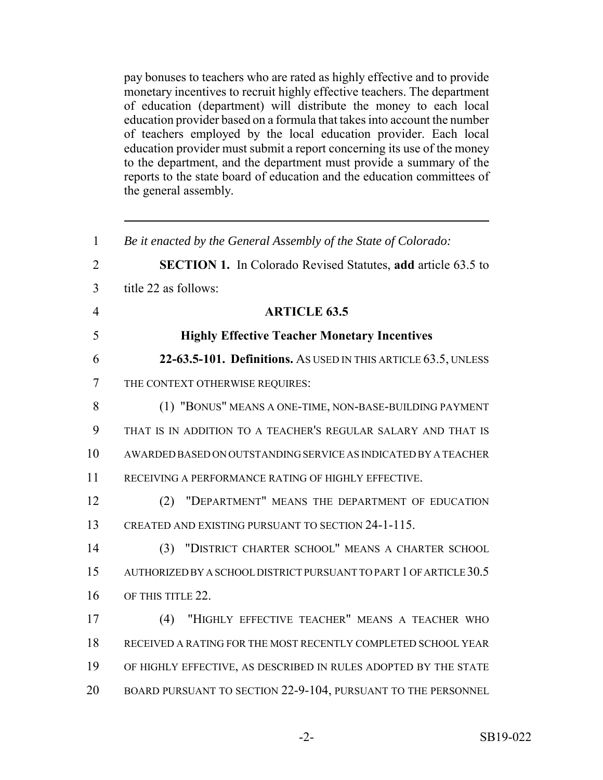pay bonuses to teachers who are rated as highly effective and to provide monetary incentives to recruit highly effective teachers. The department of education (department) will distribute the money to each local education provider based on a formula that takes into account the number of teachers employed by the local education provider. Each local education provider must submit a report concerning its use of the money to the department, and the department must provide a summary of the reports to the state board of education and the education committees of the general assembly.

| $\mathbf{1}$   | Be it enacted by the General Assembly of the State of Colorado:     |
|----------------|---------------------------------------------------------------------|
| $\overline{2}$ | <b>SECTION 1.</b> In Colorado Revised Statutes, add article 63.5 to |
| 3              | title 22 as follows:                                                |
| $\overline{4}$ | <b>ARTICLE 63.5</b>                                                 |
| 5              | <b>Highly Effective Teacher Monetary Incentives</b>                 |
| 6              | 22-63.5-101. Definitions. AS USED IN THIS ARTICLE 63.5, UNLESS      |
| 7              | THE CONTEXT OTHERWISE REQUIRES:                                     |
| 8              | (1) "BONUS" MEANS A ONE-TIME, NON-BASE-BUILDING PAYMENT             |
| 9              | THAT IS IN ADDITION TO A TEACHER'S REGULAR SALARY AND THAT IS       |
| 10             | AWARDED BASED ON OUTSTANDING SERVICE AS INDICATED BY A TEACHER      |
| 11             | RECEIVING A PERFORMANCE RATING OF HIGHLY EFFECTIVE.                 |
| 12             | "DEPARTMENT" MEANS THE DEPARTMENT OF EDUCATION<br>(2)               |
| 13             | CREATED AND EXISTING PURSUANT TO SECTION 24-1-115.                  |
| 14             | (3) "DISTRICT CHARTER SCHOOL" MEANS A CHARTER SCHOOL                |
| 15             | AUTHORIZED BY A SCHOOL DISTRICT PURSUANT TO PART 1 OF ARTICLE 30.5  |
| 16             | OF THIS TITLE 22.                                                   |
| 17             | "HIGHLY EFFECTIVE TEACHER" MEANS A TEACHER WHO<br>(4)               |
| 18             | RECEIVED A RATING FOR THE MOST RECENTLY COMPLETED SCHOOL YEAR       |
| 19             | OF HIGHLY EFFECTIVE, AS DESCRIBED IN RULES ADOPTED BY THE STATE     |
| 20             | BOARD PURSUANT TO SECTION 22-9-104, PURSUANT TO THE PERSONNEL       |
|                |                                                                     |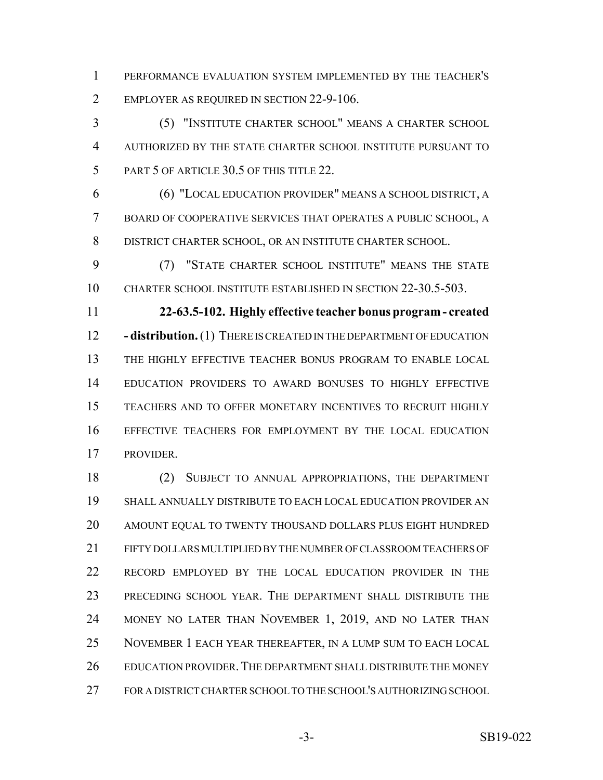PERFORMANCE EVALUATION SYSTEM IMPLEMENTED BY THE TEACHER'S 2 EMPLOYER AS REQUIRED IN SECTION 22-9-106.

 (5) "INSTITUTE CHARTER SCHOOL" MEANS A CHARTER SCHOOL AUTHORIZED BY THE STATE CHARTER SCHOOL INSTITUTE PURSUANT TO 5 PART 5 OF ARTICLE 30.5 OF THIS TITLE 22.

 (6) "LOCAL EDUCATION PROVIDER" MEANS A SCHOOL DISTRICT, A BOARD OF COOPERATIVE SERVICES THAT OPERATES A PUBLIC SCHOOL, A DISTRICT CHARTER SCHOOL, OR AN INSTITUTE CHARTER SCHOOL.

 (7) "STATE CHARTER SCHOOL INSTITUTE" MEANS THE STATE CHARTER SCHOOL INSTITUTE ESTABLISHED IN SECTION 22-30.5-503.

 **22-63.5-102. Highly effective teacher bonus program - created - distribution.** (1) THERE IS CREATED IN THE DEPARTMENT OF EDUCATION THE HIGHLY EFFECTIVE TEACHER BONUS PROGRAM TO ENABLE LOCAL EDUCATION PROVIDERS TO AWARD BONUSES TO HIGHLY EFFECTIVE TEACHERS AND TO OFFER MONETARY INCENTIVES TO RECRUIT HIGHLY EFFECTIVE TEACHERS FOR EMPLOYMENT BY THE LOCAL EDUCATION PROVIDER.

 (2) SUBJECT TO ANNUAL APPROPRIATIONS, THE DEPARTMENT SHALL ANNUALLY DISTRIBUTE TO EACH LOCAL EDUCATION PROVIDER AN AMOUNT EQUAL TO TWENTY THOUSAND DOLLARS PLUS EIGHT HUNDRED FIFTY DOLLARS MULTIPLIED BY THE NUMBER OF CLASSROOM TEACHERS OF RECORD EMPLOYED BY THE LOCAL EDUCATION PROVIDER IN THE PRECEDING SCHOOL YEAR. THE DEPARTMENT SHALL DISTRIBUTE THE MONEY NO LATER THAN NOVEMBER 1, 2019, AND NO LATER THAN NOVEMBER 1 EACH YEAR THEREAFTER, IN A LUMP SUM TO EACH LOCAL 26 EDUCATION PROVIDER. THE DEPARTMENT SHALL DISTRIBUTE THE MONEY FOR A DISTRICT CHARTER SCHOOL TO THE SCHOOL'S AUTHORIZING SCHOOL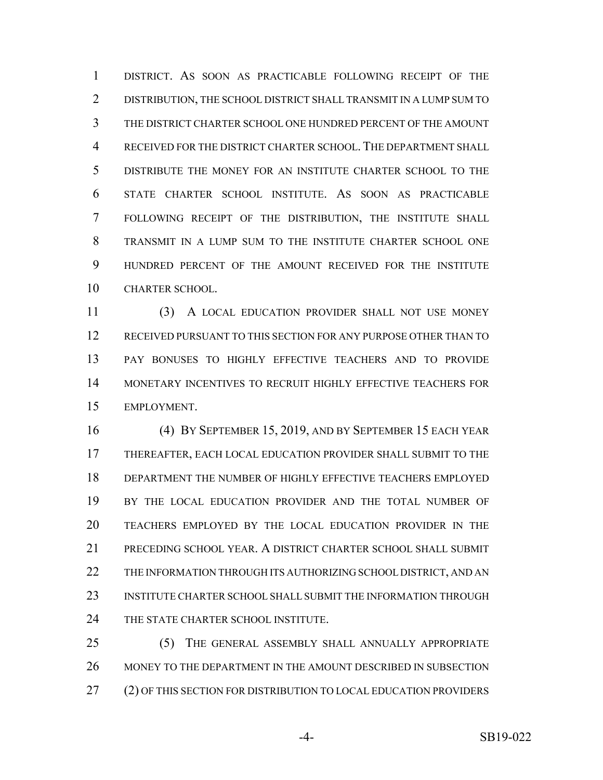DISTRICT. AS SOON AS PRACTICABLE FOLLOWING RECEIPT OF THE DISTRIBUTION, THE SCHOOL DISTRICT SHALL TRANSMIT IN A LUMP SUM TO THE DISTRICT CHARTER SCHOOL ONE HUNDRED PERCENT OF THE AMOUNT RECEIVED FOR THE DISTRICT CHARTER SCHOOL. THE DEPARTMENT SHALL DISTRIBUTE THE MONEY FOR AN INSTITUTE CHARTER SCHOOL TO THE STATE CHARTER SCHOOL INSTITUTE. AS SOON AS PRACTICABLE FOLLOWING RECEIPT OF THE DISTRIBUTION, THE INSTITUTE SHALL TRANSMIT IN A LUMP SUM TO THE INSTITUTE CHARTER SCHOOL ONE HUNDRED PERCENT OF THE AMOUNT RECEIVED FOR THE INSTITUTE CHARTER SCHOOL.

 (3) A LOCAL EDUCATION PROVIDER SHALL NOT USE MONEY RECEIVED PURSUANT TO THIS SECTION FOR ANY PURPOSE OTHER THAN TO PAY BONUSES TO HIGHLY EFFECTIVE TEACHERS AND TO PROVIDE MONETARY INCENTIVES TO RECRUIT HIGHLY EFFECTIVE TEACHERS FOR EMPLOYMENT.

 (4) BY SEPTEMBER 15, 2019, AND BY SEPTEMBER 15 EACH YEAR THEREAFTER, EACH LOCAL EDUCATION PROVIDER SHALL SUBMIT TO THE DEPARTMENT THE NUMBER OF HIGHLY EFFECTIVE TEACHERS EMPLOYED BY THE LOCAL EDUCATION PROVIDER AND THE TOTAL NUMBER OF TEACHERS EMPLOYED BY THE LOCAL EDUCATION PROVIDER IN THE PRECEDING SCHOOL YEAR. A DISTRICT CHARTER SCHOOL SHALL SUBMIT THE INFORMATION THROUGH ITS AUTHORIZING SCHOOL DISTRICT, AND AN INSTITUTE CHARTER SCHOOL SHALL SUBMIT THE INFORMATION THROUGH 24 THE STATE CHARTER SCHOOL INSTITUTE.

 (5) THE GENERAL ASSEMBLY SHALL ANNUALLY APPROPRIATE MONEY TO THE DEPARTMENT IN THE AMOUNT DESCRIBED IN SUBSECTION (2) OF THIS SECTION FOR DISTRIBUTION TO LOCAL EDUCATION PROVIDERS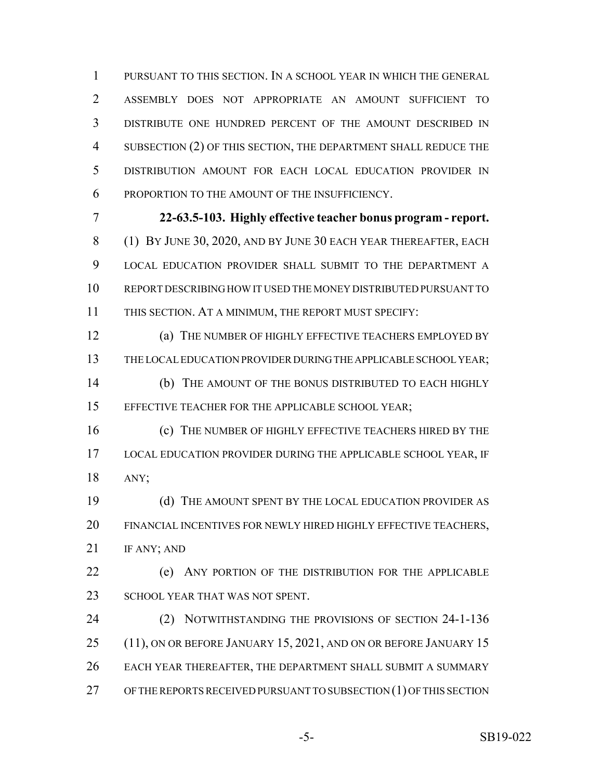PURSUANT TO THIS SECTION. IN A SCHOOL YEAR IN WHICH THE GENERAL ASSEMBLY DOES NOT APPROPRIATE AN AMOUNT SUFFICIENT TO DISTRIBUTE ONE HUNDRED PERCENT OF THE AMOUNT DESCRIBED IN SUBSECTION (2) OF THIS SECTION, THE DEPARTMENT SHALL REDUCE THE DISTRIBUTION AMOUNT FOR EACH LOCAL EDUCATION PROVIDER IN PROPORTION TO THE AMOUNT OF THE INSUFFICIENCY.

 **22-63.5-103. Highly effective teacher bonus program - report.** (1) BY JUNE 30, 2020, AND BY JUNE 30 EACH YEAR THEREAFTER, EACH LOCAL EDUCATION PROVIDER SHALL SUBMIT TO THE DEPARTMENT A REPORT DESCRIBING HOW IT USED THE MONEY DISTRIBUTED PURSUANT TO THIS SECTION. AT A MINIMUM, THE REPORT MUST SPECIFY:

 (a) THE NUMBER OF HIGHLY EFFECTIVE TEACHERS EMPLOYED BY THE LOCAL EDUCATION PROVIDER DURING THE APPLICABLE SCHOOL YEAR; (b) THE AMOUNT OF THE BONUS DISTRIBUTED TO EACH HIGHLY EFFECTIVE TEACHER FOR THE APPLICABLE SCHOOL YEAR;

**(c)** THE NUMBER OF HIGHLY EFFECTIVE TEACHERS HIRED BY THE LOCAL EDUCATION PROVIDER DURING THE APPLICABLE SCHOOL YEAR, IF ANY;

19 (d) THE AMOUNT SPENT BY THE LOCAL EDUCATION PROVIDER AS FINANCIAL INCENTIVES FOR NEWLY HIRED HIGHLY EFFECTIVE TEACHERS, 21 IF ANY; AND

 (e) ANY PORTION OF THE DISTRIBUTION FOR THE APPLICABLE 23 SCHOOL YEAR THAT WAS NOT SPENT.

 (2) NOTWITHSTANDING THE PROVISIONS OF SECTION 24-1-136 25 (11), ON OR BEFORE JANUARY 15, 2021, AND ON OR BEFORE JANUARY 15 EACH YEAR THEREAFTER, THE DEPARTMENT SHALL SUBMIT A SUMMARY OF THE REPORTS RECEIVED PURSUANT TO SUBSECTION (1) OF THIS SECTION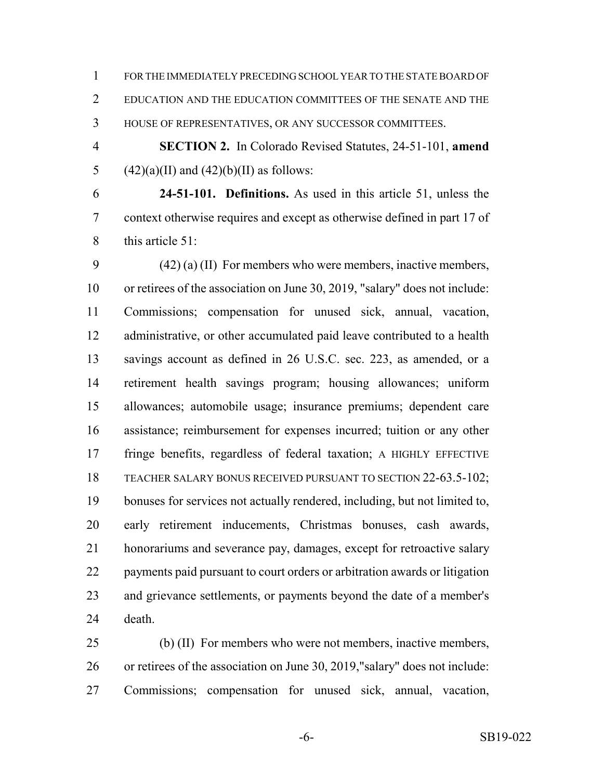FOR THE IMMEDIATELY PRECEDING SCHOOL YEAR TO THE STATE BOARD OF EDUCATION AND THE EDUCATION COMMITTEES OF THE SENATE AND THE HOUSE OF REPRESENTATIVES, OR ANY SUCCESSOR COMMITTEES.

 **SECTION 2.** In Colorado Revised Statutes, 24-51-101, **amend** 5  $(42)(a)(II)$  and  $(42)(b)(II)$  as follows:

 **24-51-101. Definitions.** As used in this article 51, unless the context otherwise requires and except as otherwise defined in part 17 of this article 51:

 (42) (a) (II) For members who were members, inactive members, or retirees of the association on June 30, 2019, "salary" does not include: Commissions; compensation for unused sick, annual, vacation, 12 administrative, or other accumulated paid leave contributed to a health savings account as defined in 26 U.S.C. sec. 223, as amended, or a retirement health savings program; housing allowances; uniform allowances; automobile usage; insurance premiums; dependent care assistance; reimbursement for expenses incurred; tuition or any other fringe benefits, regardless of federal taxation; A HIGHLY EFFECTIVE TEACHER SALARY BONUS RECEIVED PURSUANT TO SECTION 22-63.5-102; bonuses for services not actually rendered, including, but not limited to, early retirement inducements, Christmas bonuses, cash awards, honorariums and severance pay, damages, except for retroactive salary payments paid pursuant to court orders or arbitration awards or litigation and grievance settlements, or payments beyond the date of a member's death.

 (b) (II) For members who were not members, inactive members, or retirees of the association on June 30, 2019,"salary" does not include: Commissions; compensation for unused sick, annual, vacation,